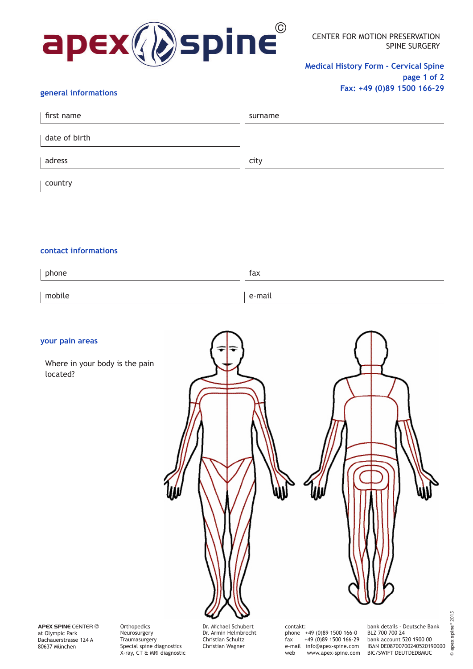

CENTER FOR MOTION PRESERVATION SPINE SURGERY

**Medical History Form - Cervical Spine page 1 of 2 Fax: +49 (0)89 1500 166-29**

## **general informations**

| first name    | surname |
|---------------|---------|
| date of birth |         |
| adress        | city    |
| country       |         |

## **contact informations**

| phone  | fax    |
|--------|--------|
| mobile | e-mail |

## **your pain areas**

 Where in your body is the pain located?

Dr. Michael Schubert contakt:

**APEX SPINE** CENTER © at Olympic Park Dachauerstrasse 124 A 80637 München

**Orthopedics** Neurosurgery **Traumasurgery** Special spine diagnostics X-ray, CT & MRI diagnostic Dr. Armin Helmbrecht Christian Schultz Christian Wagner

phone +49 (0)89 1500 166-0<br>fax +49 (0)89 1500 166-29 fax +49 (0)89 1500 166-29 e-mail info@apex-spine.com web www.apex-spine.com

bank details - Deutsche Bank BLZ 700 700 24 bank account 520 1900 00 IBAN DE08700700240520190000 BIC/SWIFT DEUTDEDBMUC

© **apex spine**® 2015

 $\odot$